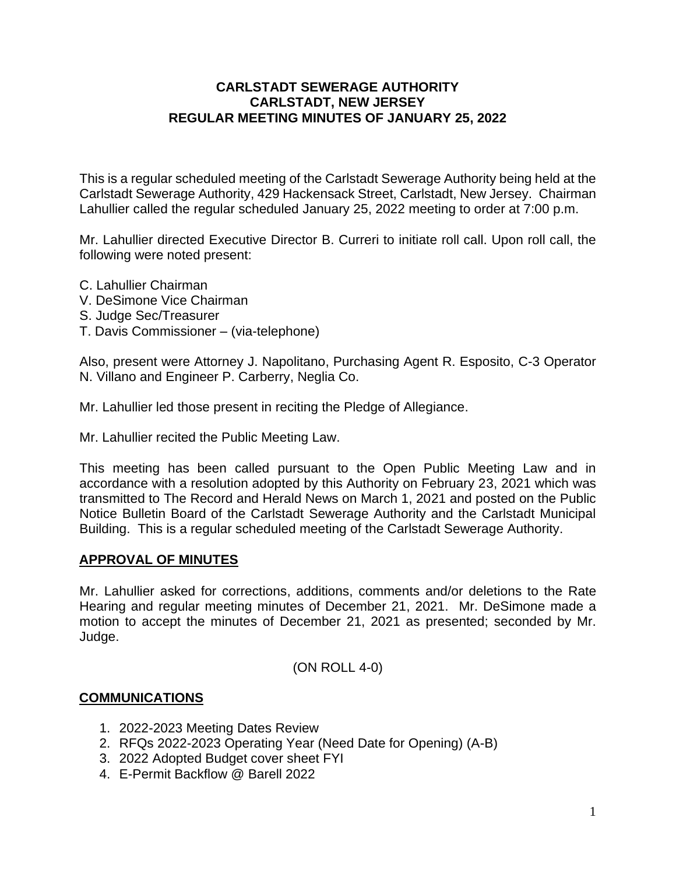### **CARLSTADT SEWERAGE AUTHORITY CARLSTADT, NEW JERSEY REGULAR MEETING MINUTES OF JANUARY 25, 2022**

This is a regular scheduled meeting of the Carlstadt Sewerage Authority being held at the Carlstadt Sewerage Authority, 429 Hackensack Street, Carlstadt, New Jersey. Chairman Lahullier called the regular scheduled January 25, 2022 meeting to order at 7:00 p.m.

Mr. Lahullier directed Executive Director B. Curreri to initiate roll call. Upon roll call, the following were noted present:

- C. Lahullier Chairman
- V. DeSimone Vice Chairman
- S. Judge Sec/Treasurer
- T. Davis Commissioner (via-telephone)

Also, present were Attorney J. Napolitano, Purchasing Agent R. Esposito, C-3 Operator N. Villano and Engineer P. Carberry, Neglia Co.

Mr. Lahullier led those present in reciting the Pledge of Allegiance.

Mr. Lahullier recited the Public Meeting Law.

This meeting has been called pursuant to the Open Public Meeting Law and in accordance with a resolution adopted by this Authority on February 23, 2021 which was transmitted to The Record and Herald News on March 1, 2021 and posted on the Public Notice Bulletin Board of the Carlstadt Sewerage Authority and the Carlstadt Municipal Building. This is a regular scheduled meeting of the Carlstadt Sewerage Authority.

### **APPROVAL OF MINUTES**

Mr. Lahullier asked for corrections, additions, comments and/or deletions to the Rate Hearing and regular meeting minutes of December 21, 2021. Mr. DeSimone made a motion to accept the minutes of December 21, 2021 as presented; seconded by Mr. Judge.

(ON ROLL 4-0)

#### **COMMUNICATIONS**

- 1. 2022-2023 Meeting Dates Review
- 2. RFQs 2022-2023 Operating Year (Need Date for Opening) (A-B)
- 3. 2022 Adopted Budget cover sheet FYI
- 4. E-Permit Backflow @ Barell 2022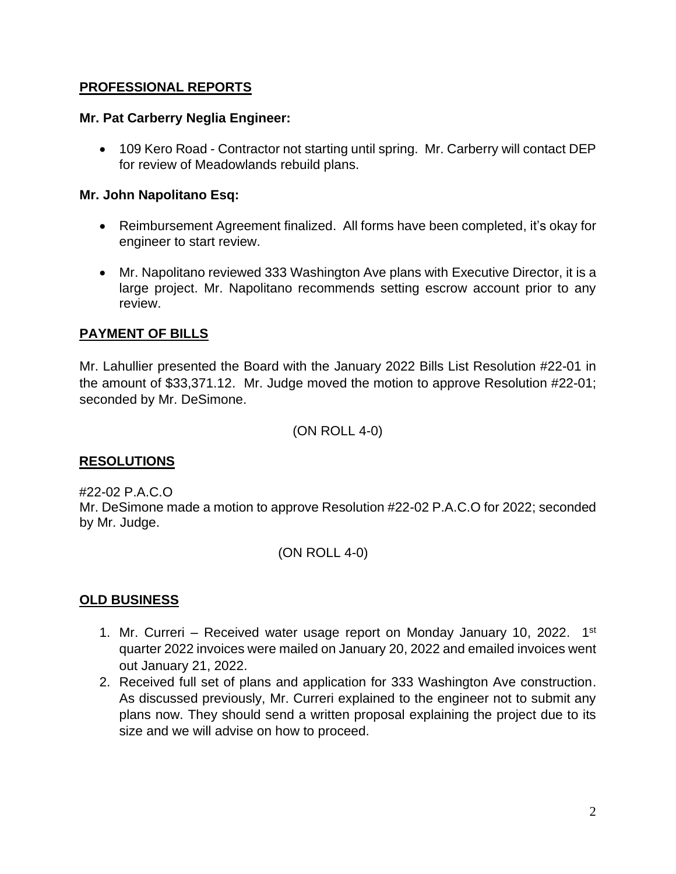## **PROFESSIONAL REPORTS**

### **Mr. Pat Carberry Neglia Engineer:**

• 109 Kero Road - Contractor not starting until spring. Mr. Carberry will contact DEP for review of Meadowlands rebuild plans.

### **Mr. John Napolitano Esq:**

- Reimbursement Agreement finalized. All forms have been completed, it's okay for engineer to start review.
- Mr. Napolitano reviewed 333 Washington Ave plans with Executive Director, it is a large project. Mr. Napolitano recommends setting escrow account prior to any review.

# **PAYMENT OF BILLS**

Mr. Lahullier presented the Board with the January 2022 Bills List Resolution #22-01 in the amount of \$33,371.12. Mr. Judge moved the motion to approve Resolution #22-01; seconded by Mr. DeSimone.

(ON ROLL 4-0)

# **RESOLUTIONS**

### #22-02 P.A.C.O

Mr. DeSimone made a motion to approve Resolution #22-02 P.A.C.O for 2022; seconded by Mr. Judge.

(ON ROLL 4-0)

# **OLD BUSINESS**

- 1. Mr. Curreri Received water usage report on Monday January 10, 2022. 1<sup>st</sup> quarter 2022 invoices were mailed on January 20, 2022 and emailed invoices went out January 21, 2022.
- 2. Received full set of plans and application for 333 Washington Ave construction. As discussed previously, Mr. Curreri explained to the engineer not to submit any plans now. They should send a written proposal explaining the project due to its size and we will advise on how to proceed.